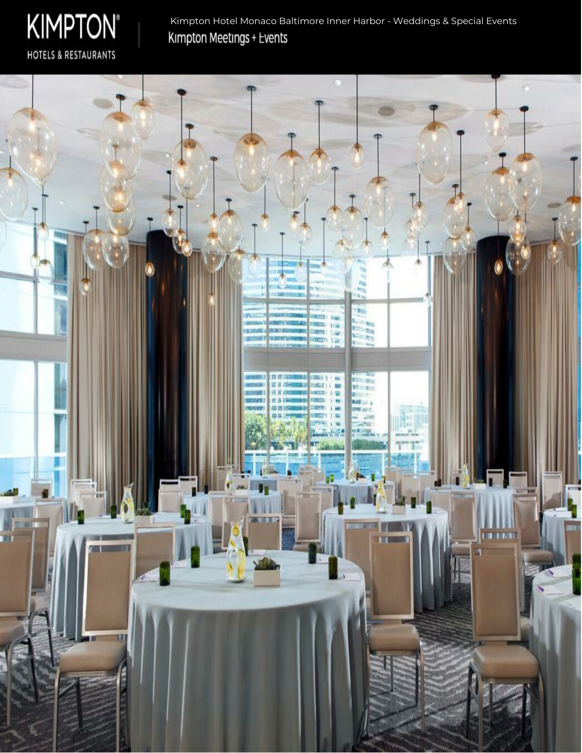

Kimpton Hotel Monaco Baltimore Inner Harbor - Weddings & Special EventsKimpton Meetings + Events

t. **CEST GAS** Ħ n Mary Ale EJIOMIO 豊彦院 nisia **Beithea** Tiring. 世日作 **IEG MARS** 確言の m **W S 19** 商用日 **MU** IJĘ ŧα Ψ T T  $\mathbf{r}$ **FELKB** Ш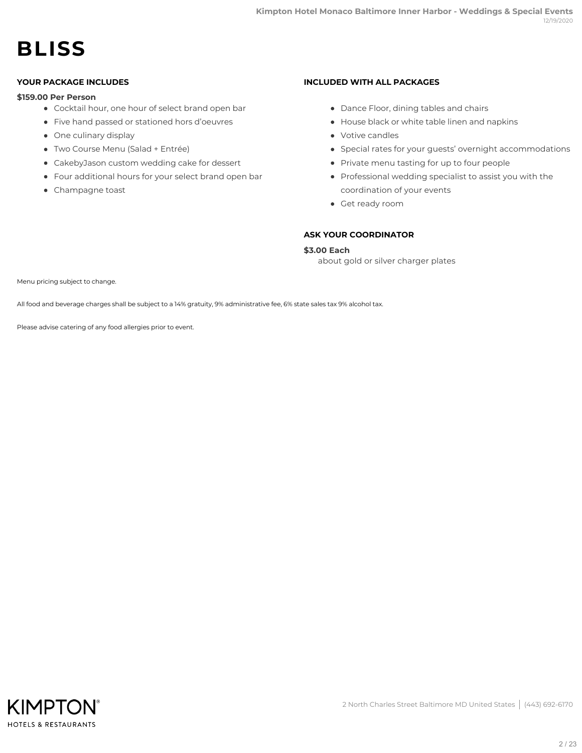# **BLISS**

### **YOUR PACKAGE INCLUDES**

### **\$159.00 Per Person**

- Cocktail hour, one hour of select brand open bar
- Five hand passed or stationed hors d'oeuvres
- One culinary display
- Two Course Menu (Salad + Entrée)
- CakebyJason custom wedding cake for dessert
- Four additional hours for your select brand open bar
- Champagne toast

#### **INCLUDED WITH ALL PACKAGES**

- Dance Floor, dining tables and chairs
- House black or white table linen and napkins
- Votive candles
- Special rates for your guests' overnight accommodations
- Private menu tasting for up to four people
- Professional wedding specialist to assist you with the coordination of your events
- Get ready room

# **ASK YOUR COORDINATOR**

# **\$3.00 Each**

about gold or silver charger plates

Menu pricing subject to change.

All food and beverage charges shall be subject to a 14% gratuity, 9% administrative fee, 6% state sales tax 9% alcohol tax.

Please advise catering of any food allergies prior to event.

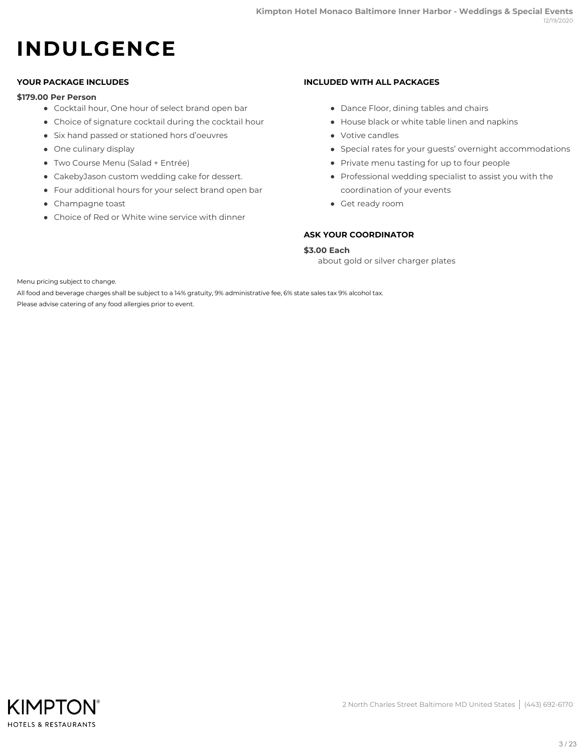# **INDULGENCE**

# **YOUR PACKAGE INCLUDES**

#### **\$179.00 Per Person**

- Cocktail hour, One hour of select brand open bar
- Choice of signature cocktail during the cocktail hour
- Six hand passed or stationed hors d'oeuvres
- One culinary display
- Two Course Menu (Salad + Entrée)
- CakebyJason custom wedding cake for dessert.
- Four additional hours for your select brand open bar
- Champagne toast
- Choice of Red or White wine service with dinner

### **INCLUDED WITH ALL PACKAGES**

- Dance Floor, dining tables and chairs
- House black or white table linen and napkins
- Votive candles
- Special rates for your guests' overnight accommodations
- Private menu tasting for up to four people
- Professional wedding specialist to assist you with the coordination of your events
- Get ready room

# **ASK YOUR COORDINATOR**

### **\$3.00 Each**

about gold or silver charger plates

Menu pricing subject to change.

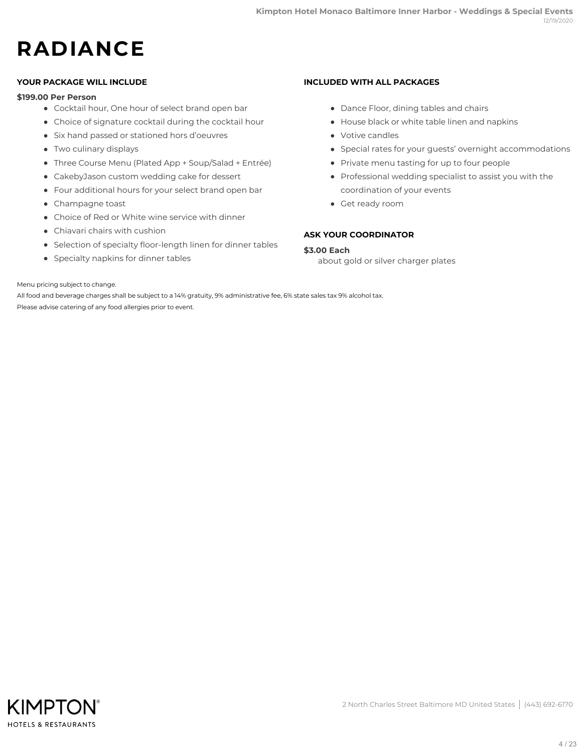# **RADIANCE**

### **YOUR PACKAGE WILL INCLUDE**

#### **\$199.00 Per Person**

- Cocktail hour, One hour of select brand open bar
- Choice of signature cocktail during the cocktail hour
- Six hand passed or stationed hors d'oeuvres
- Two culinary displays
- Three Course Menu (Plated App + Soup/Salad + Entrée)
- CakebyJason custom wedding cake for dessert
- Four additional hours for your select brand open bar
- Champagne toast
- Choice of Red or White wine service with dinner
- Chiavari chairs with cushion
- Selection of specialty floor-length linen for dinner tables
- Specialty napkins for dinner tables

### **INCLUDED WITH ALL PACKAGES**

- Dance Floor, dining tables and chairs
- House black or white table linen and napkins
- Votive candles
- Special rates for your guests' overnight accommodations
- Private menu tasting for up to four people
- Professional wedding specialist to assist you with the coordination of your events
- Get ready room

# **ASK YOUR COORDINATOR**

### **\$3.00 Each**

about gold or silver charger plates

Menu pricing subject to change.

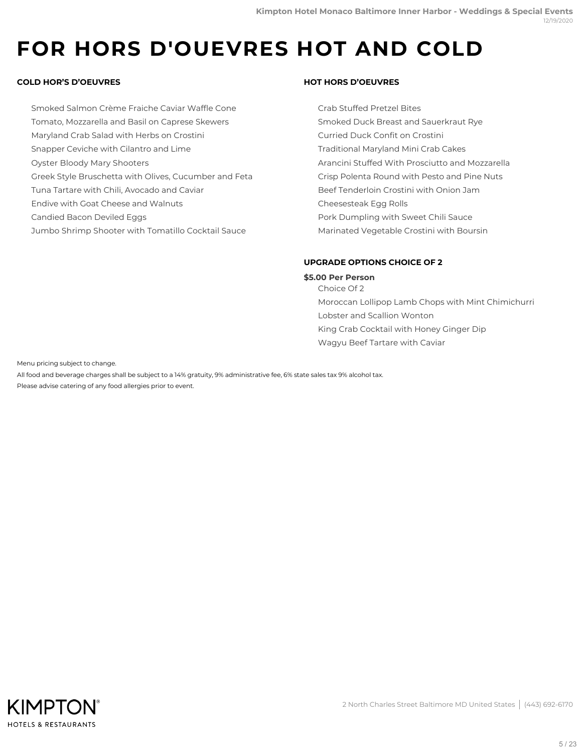# **FOR HORS D'OUEVRES HOT AND COLD**

# **COLD HOR'S D'OEUVRES**

Smoked Salmon Crème Fraiche Caviar Waffle Cone Tomato, Mozzarella and Basil on Caprese Skewers Maryland Crab Salad with Herbs on Crostini Snapper Ceviche with Cilantro and Lime Oyster Bloody Mary Shooters Greek Style Bruschetta with Olives, Cucumber and Feta Tuna Tartare with Chili, Avocado and Caviar Endive with Goat Cheese and Walnuts Candied Bacon Deviled Eggs Jumbo Shrimp Shooter with Tomatillo Cocktail Sauce

### **HOT HORS D'OEUVRES**

Crab Stuffed Pretzel Bites Smoked Duck Breast and Sauerkraut Rye Curried Duck Confit on Crostini Traditional Maryland Mini Crab Cakes Arancini Stuffed With Prosciutto and Mozzarella Crisp Polenta Round with Pesto and Pine Nuts Beef Tenderloin Crostini with Onion Jam Cheesesteak Egg Rolls Pork Dumpling with Sweet Chili Sauce Marinated Vegetable Crostini with Boursin

# **UPGRADE OPTIONS CHOICE OF 2**

# **\$5.00 Per Person**

Choice Of 2 Moroccan Lollipop Lamb Chops with Mint Chimichurri Lobster and Scallion Wonton King Crab Cocktail with Honey Ginger Dip Wagyu Beef Tartare with Caviar

Menu pricing subject to change.

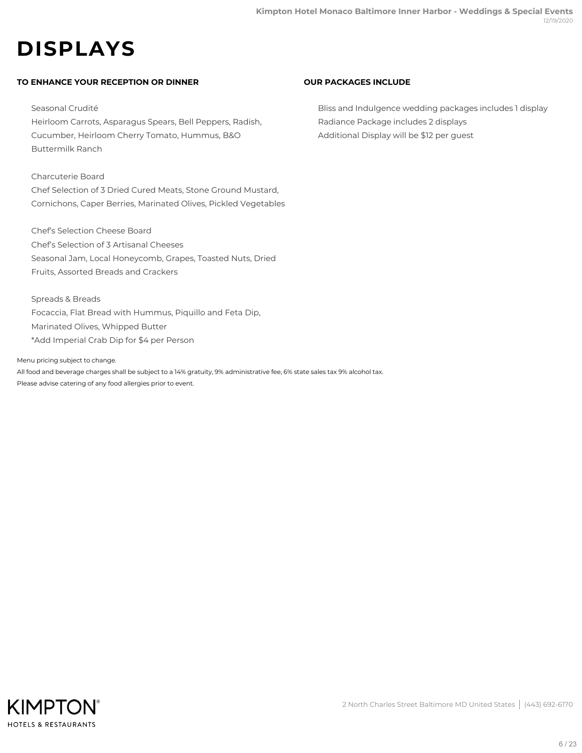# **DISPLAYS**

# **TO ENHANCE YOUR RECEPTION OR DINNER**

Seasonal Crudité Heirloom Carrots, Asparagus Spears, Bell Peppers, Radish, Cucumber, Heirloom Cherry Tomato, Hummus, B&O Buttermilk Ranch

#### Charcuterie Board

Chef Selection of 3 Dried Cured Meats, Stone Ground Mustard, Cornichons, Caper Berries, Marinated Olives, Pickled Vegetables

Chef's Selection Cheese Board Chef's Selection of 3 Artisanal Cheeses Seasonal Jam, Local Honeycomb, Grapes, Toasted Nuts, Dried Fruits, Assorted Breads and Crackers

Spreads & Breads Focaccia, Flat Bread with Hummus, Piquillo and Feta Dip, Marinated Olives, Whipped Butter \*Add Imperial Crab Dip for \$4 per Person

Menu pricing subject to change.

All food and beverage charges shall be subject to a 14% gratuity, 9% administrative fee, 6% state sales tax 9% alcohol tax. Please advise catering of any food allergies prior to event.

### **OUR PACKAGES INCLUDE**

Bliss and Indulgence wedding packages includes 1 display Radiance Package includes 2 displays Additional Display will be \$12 per guest

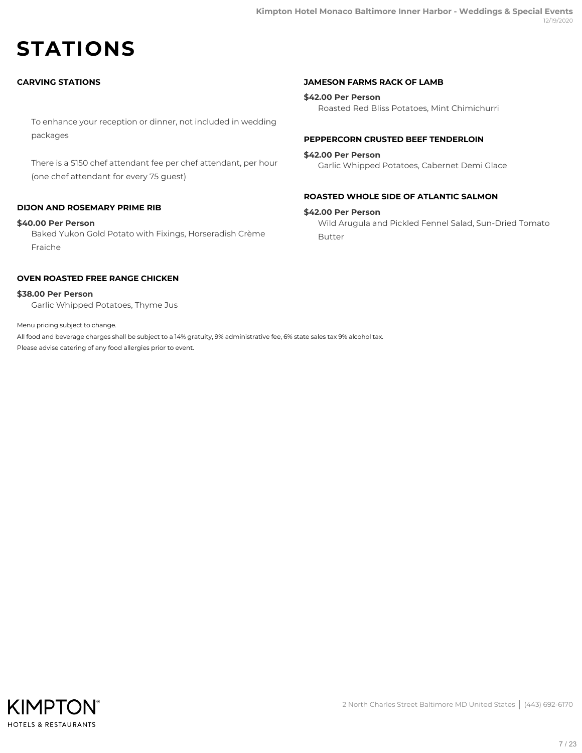# **STATIONS**

# **CARVING STATIONS**

To enhance your reception or dinner, not included in wedding packages

There is a \$150 chef attendant fee per chef attendant, per hour (one chef attendant for every 75 guest)

# **DIJON AND ROSEMARY PRIME RIB**

#### **\$40.00 Per Person**

Baked Yukon Gold Potato with Fixings, Horseradish Crème Fraiche

### **OVEN ROASTED FREE RANGE CHICKEN**

Garlic Whipped Potatoes, Thyme Jus **\$38.00 Per Person**

Menu pricing subject to change.

All food and beverage charges shall be subject to a 14% gratuity, 9% administrative fee, 6% state sales tax 9% alcohol tax. Please advise catering of any food allergies prior to event.

#### **JAMESON FARMS RACK OF LAMB**

Roasted Red Bliss Potatoes, Mint Chimichurri **\$42.00 Per Person**

#### **PEPPERCORN CRUSTED BEEF TENDERLOIN**

#### **\$42.00 Per Person**

Garlic Whipped Potatoes, Cabernet Demi Glace

#### **ROASTED WHOLE SIDE OF ATLANTIC SALMON**

#### **\$42.00 Per Person**

Wild Arugula and Pickled Fennel Salad, Sun-Dried Tomato Butter

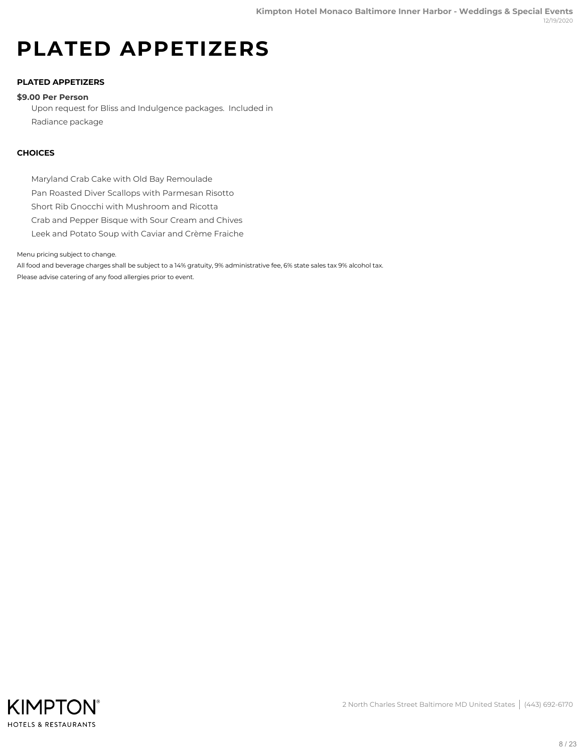# **PLATED APPETIZERS**

# **PLATED APPETIZERS**

#### **\$9.00 Per Person**

Upon request for Bliss and Indulgence packages. Included in Radiance package

### **CHOICES**

Maryland Crab Cake with Old Bay Remoulade

Pan Roasted Diver Scallops with Parmesan Risotto

Short Rib Gnocchi with Mushroom and Ricotta

Crab and Pepper Bisque with Sour Cream and Chives

Leek and Potato Soup with Caviar and Crème Fraiche

Menu pricing subject to change.

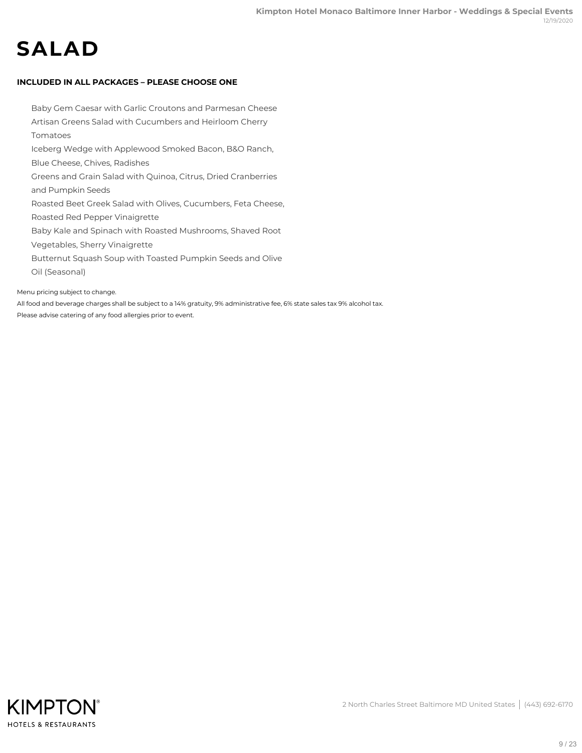# **SALAD**

# **INCLUDED IN ALL PACKAGES – PLEASE CHOOSE ONE**

Baby Gem Caesar with Garlic Croutons and Parmesan Cheese Artisan Greens Salad with Cucumbers and Heirloom Cherry Tomatoes Iceberg Wedge with Applewood Smoked Bacon, B&O Ranch, Blue Cheese, Chives, Radishes Greens and Grain Salad with Quinoa, Citrus, Dried Cranberries and Pumpkin Seeds Roasted Beet Greek Salad with Olives, Cucumbers, Feta Cheese, Roasted Red Pepper Vinaigrette Baby Kale and Spinach with Roasted Mushrooms, Shaved Root Vegetables, Sherry Vinaigrette Butternut Squash Soup with Toasted Pumpkin Seeds and Olive Oil (Seasonal)

Menu pricing subject to change.

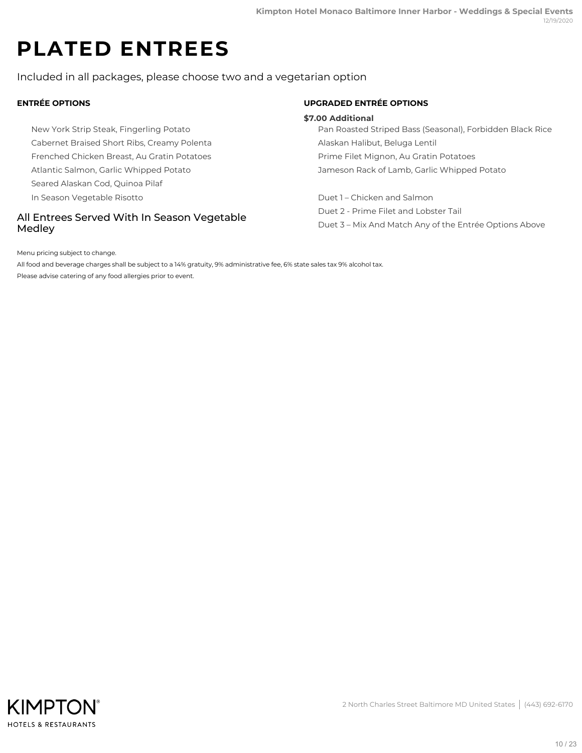# **PLATED ENTREES**

Included in all packages, please choose two and a vegetarian option

# **ENTRÉE OPTIONS**

New York Strip Steak, Fingerling Potato Cabernet Braised Short Ribs, Creamy Polenta Frenched Chicken Breast, Au Gratin Potatoes Atlantic Salmon, Garlic Whipped Potato Seared Alaskan Cod, Quinoa Pilaf In Season Vegetable Risotto

# All Entrees Served With In Season Vegetable Medley

# **UPGRADED ENTRÉE OPTIONS**

#### **\$7.00 Additional**

Pan Roasted Striped Bass (Seasonal), Forbidden Black Rice Alaskan Halibut, Beluga Lentil Prime Filet Mignon, Au Gratin Potatoes Jameson Rack of Lamb, Garlic Whipped Potato

Duet 1 – Chicken and Salmon Duet 2 - Prime Filet and Lobster Tail Duet 3 – Mix And Match Any of the Entrée Options Above

Menu pricing subject to change.

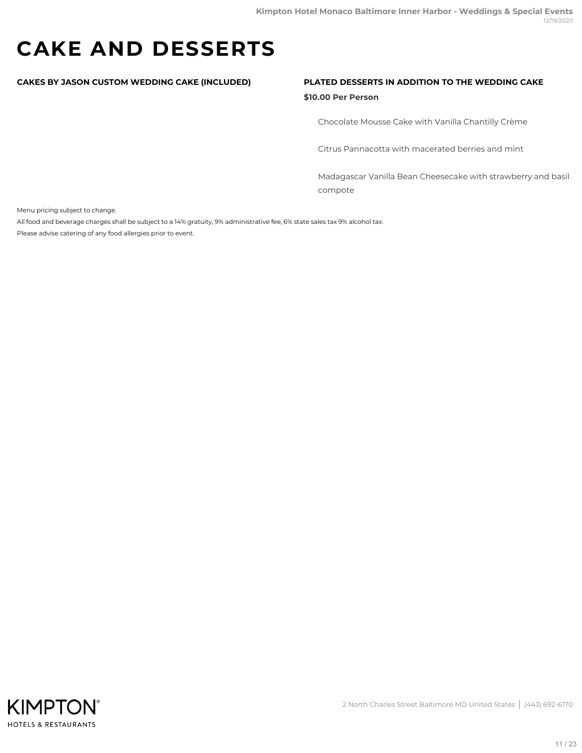# **CAKE AND DESSERTS**

### **CAKES BY JASON CUSTOM WEDDING CAKE (INCLUDED) PLATED DESSERTS IN ADDITION TO THE WEDDING CAKE**

#### **\$10.00 Per Person**

Chocolate Mousse Cake with Vanilla Chantilly Crème

Citrus Pannacotta with macerated berries and mint

Madagascar Vanilla Bean Cheesecake with strawberry and basil compote

Menu pricing subject to change.

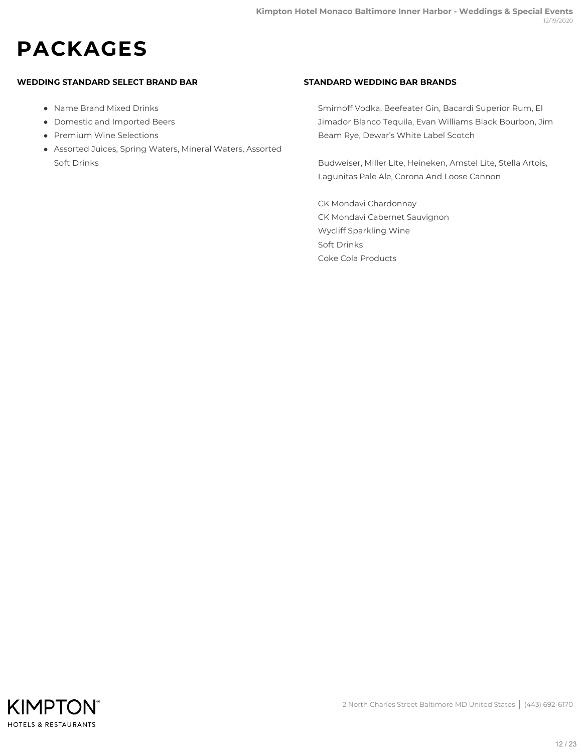# **PACKAGES**

# **WEDDING STANDARD SELECT BRAND BAR**

- Name Brand Mixed Drinks
- Domestic and Imported Beers
- Premium Wine Selections
- Assorted Juices, Spring Waters, Mineral Waters, Assorted Soft Drinks

# **STANDARD WEDDING BAR BRANDS**

Smirnoff Vodka, Beefeater Gin, Bacardi Superior Rum, El Jimador Blanco Tequila, Evan Williams Black Bourbon, Jim Beam Rye, Dewar's White Label Scotch

Budweiser, Miller Lite, Heineken, Amstel Lite, Stella Artois, Lagunitas Pale Ale, Corona And Loose Cannon

CK Mondavi Chardonnay CK Mondavi Cabernet Sauvignon Wycliff Sparkling Wine Soft Drinks Coke Cola Products

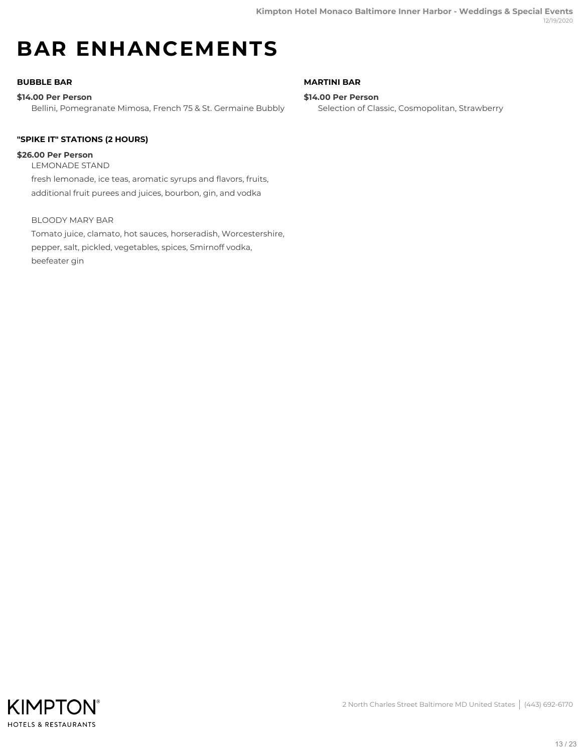# **BAR ENHANCEMENTS**

# **BUBBLE BAR**

# **\$14.00 Per Person**

Bellini, Pomegranate Mimosa, French 75 & St. Germaine Bubbly

# **"SPIKE IT" STATIONS (2 HOURS)**

# **\$26.00 Per Person**

LEMONADE STAND fresh lemonade, ice teas, aromatic syrups and flavors, fruits, additional fruit purees and juices, bourbon, gin, and vodka

# BLOODY MARY BAR

Tomato juice, clamato, hot sauces, horseradish, Worcestershire, pepper, salt, pickled, vegetables, spices, Smirnoff vodka, beefeater gin

### **MARTINI BAR**

#### **\$14.00 Per Person**

Selection of Classic, Cosmopolitan, Strawberry

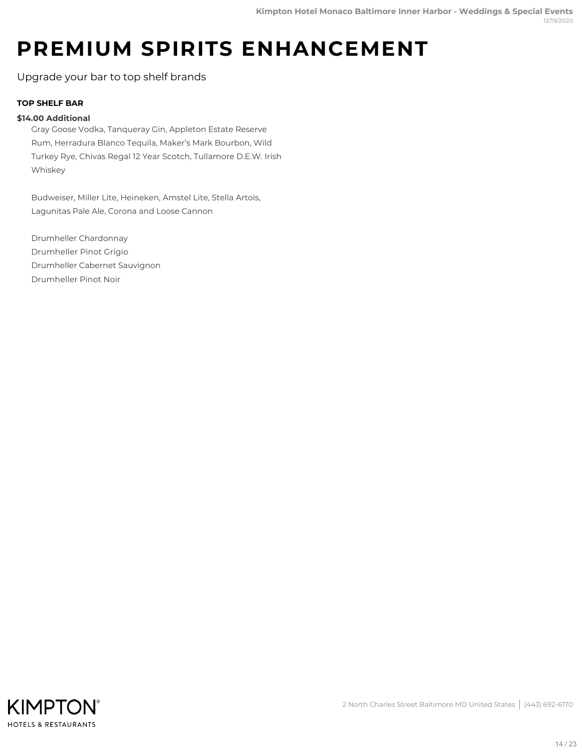# **PREMIUM SPIRITS ENHANCEMENT**

Upgrade your bar to top shelf brands

# **TOP SHELF BAR**

# **\$14.00 Additional**

Gray Goose Vodka, Tanqueray Gin, Appleton Estate Reserve Rum, Herradura Blanco Tequila, Maker's Mark Bourbon, Wild Turkey Rye, Chivas Regal 12 Year Scotch, Tullamore D.E.W. Irish Whiskey

Budweiser, Miller Lite, Heineken, Amstel Lite, Stella Artois, Lagunitas Pale Ale, Corona and Loose Cannon

Drumheller Chardonnay Drumheller Pinot Grigio Drumheller Cabernet Sauvignon Drumheller Pinot Noir

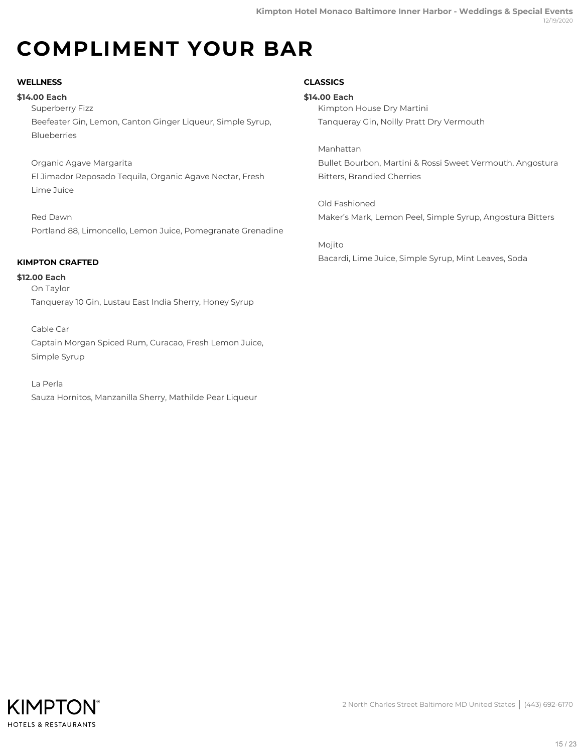# **COMPLIMENT YOUR BAR**

# **WELLNESS**

# **\$14.00 Each**

Superberry Fizz Beefeater Gin, Lemon, Canton Ginger Liqueur, Simple Syrup, Blueberries

Organic Agave Margarita El Jimador Reposado Tequila, Organic Agave Nectar, Fresh Lime Juice

Red Dawn Portland 88, Limoncello, Lemon Juice, Pomegranate Grenadine

# **KIMPTON CRAFTED**

On Taylor Tanqueray 10 Gin, Lustau East India Sherry, Honey Syrup **\$12.00 Each**

Cable Car Captain Morgan Spiced Rum, Curacao, Fresh Lemon Juice, Simple Syrup

La Perla Sauza Hornitos, Manzanilla Sherry, Mathilde Pear Liqueur

# **CLASSICS**

Kimpton House Dry Martini Tanqueray Gin, Noilly Pratt Dry Vermouth **\$14.00 Each**

Manhattan Bullet Bourbon, Martini & Rossi Sweet Vermouth, Angostura Bitters, Brandied Cherries

Old Fashioned Maker's Mark, Lemon Peel, Simple Syrup, Angostura Bitters

Mojito Bacardi, Lime Juice, Simple Syrup, Mint Leaves, Soda

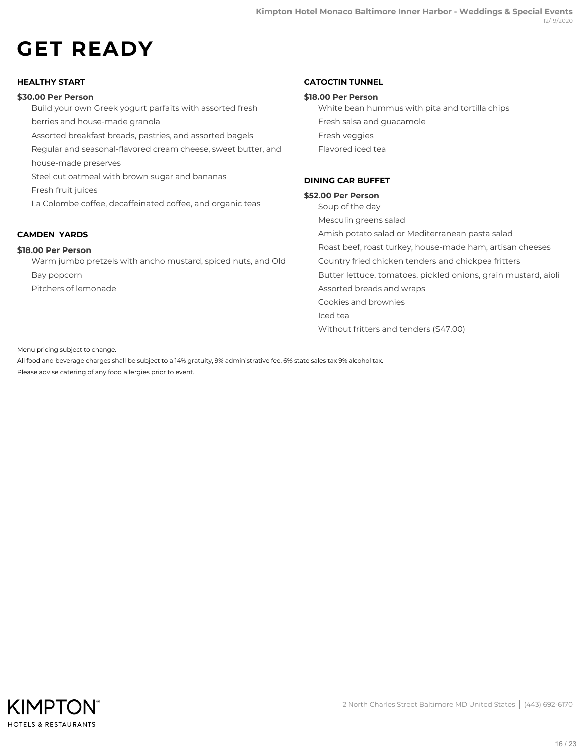# **GET READY**

# **HEALTHY START**

### **\$30.00 Per Person**

Build your own Greek yogurt parfaits with assorted fresh berries and house-made granola Assorted breakfast breads, pastries, and assorted bagels Regular and seasonal-flavored cream cheese, sweet butter, and house-made preserves Steel cut oatmeal with brown sugar and bananas Fresh fruit juices La Colombe coffee, decaffeinated coffee, and organic teas

# **CAMDEN YARDS**

### **\$18.00 Per Person**

Warm jumbo pretzels with ancho mustard, spiced nuts, and Old Bay popcorn Pitchers of lemonade

### **CATOCTIN TUNNEL**

#### **\$18.00 Per Person**

White bean hummus with pita and tortilla chips Fresh salsa and guacamole Fresh veggies Flavored iced tea

# **DINING CAR BUFFET**

#### **\$52.00 Per Person**

Soup of the day Mesculin greens salad Amish potato salad or Mediterranean pasta salad Roast beef, roast turkey, house-made ham, artisan cheeses Country fried chicken tenders and chickpea fritters Butter lettuce, tomatoes, pickled onions, grain mustard, aioli Assorted breads and wraps Cookies and brownies Iced tea Without fritters and tenders (\$47.00)

Menu pricing subject to change.

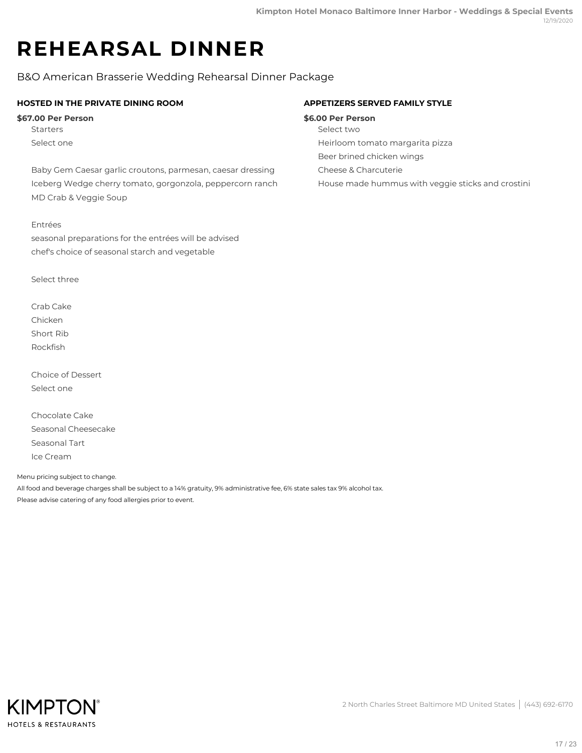# **REHEARSAL DINNER**

B&O American Brasserie Wedding Rehearsal Dinner Package

# **HOSTED IN THE PRIVATE DINING ROOM**

### **\$67.00 Per Person**

**Starters** Select one

Baby Gem Caesar garlic croutons, parmesan, caesar dressing Iceberg Wedge cherry tomato, gorgonzola, peppercorn ranch MD Crab & Veggie Soup

### Entrées

seasonal preparations for the entrées will be advised chef's choice of seasonal starch and vegetable

Select three

Crab Cake Chicken Short Rib Rockfish

Choice of Dessert Select one

Chocolate Cake Seasonal Cheesecake Seasonal Tart Ice Cream

Menu pricing subject to change.

All food and beverage charges shall be subject to a 14% gratuity, 9% administrative fee, 6% state sales tax 9% alcohol tax. Please advise catering of any food allergies prior to event.



### **APPETIZERS SERVED FAMILY STYLE**

#### **\$6.00 Per Person**

- Select two
- Heirloom tomato margarita pizza
- Beer brined chicken wings
- Cheese & Charcuterie

House made hummus with veggie sticks and crostini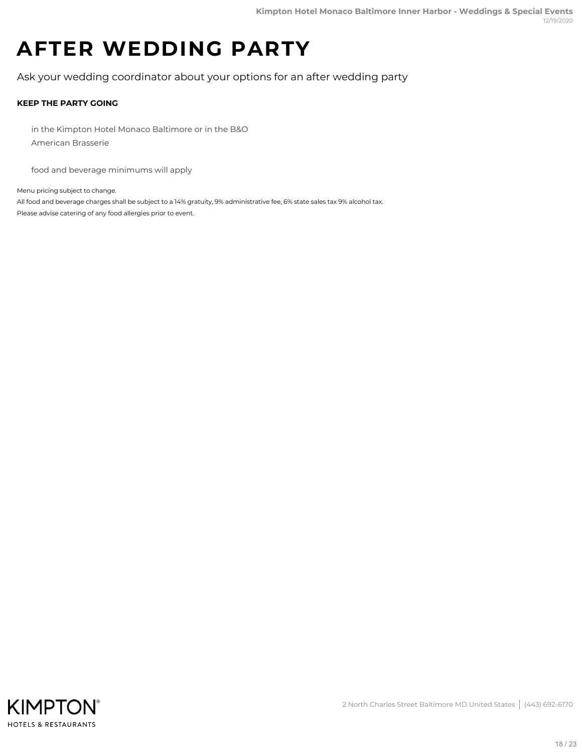# **AFTER WEDDING PARTY**

Ask your wedding coordinator about your options for an after wedding party

# **KEEP THE PARTY GOING**

in the Kimpton Hotel Monaco Baltimore or in the B&O American Brasserie

food and beverage minimums will apply

Menu pricing subject to change.

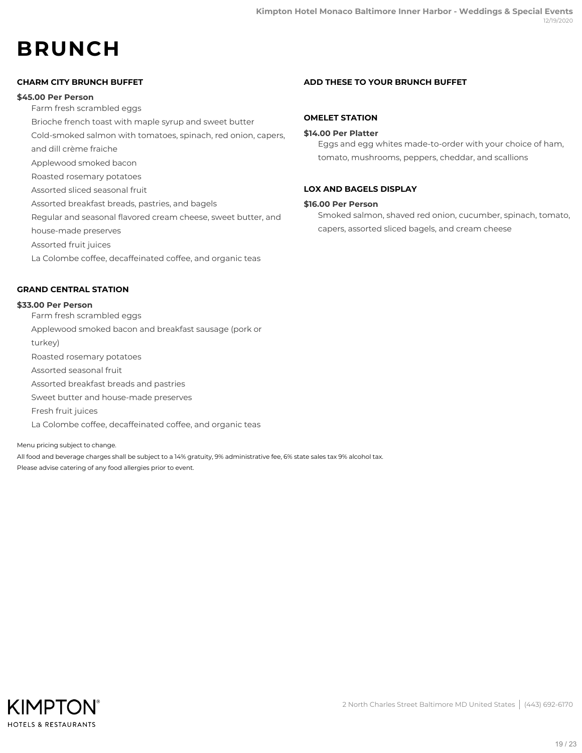# **BRUNCH**

# **CHARM CITY BRUNCH BUFFET**

### **\$45.00 Per Person**

Farm fresh scrambled eggs

Brioche french toast with maple syrup and sweet butter

Cold-smoked salmon with tomatoes, spinach, red onion, capers,

and dill crème fraiche

Applewood smoked bacon

Roasted rosemary potatoes

Assorted sliced seasonal fruit

Assorted breakfast breads, pastries, and bagels

Regular and seasonal flavored cream cheese, sweet butter, and

house-made preserves

Assorted fruit juices

La Colombe coffee, decaffeinated coffee, and organic teas

# **GRAND CENTRAL STATION**

#### **\$33.00 Per Person**

Farm fresh scrambled eggs Applewood smoked bacon and breakfast sausage (pork or turkey) Roasted rosemary potatoes Assorted seasonal fruit Assorted breakfast breads and pastries Sweet butter and house-made preserves Fresh fruit juices La Colombe coffee, decaffeinated coffee, and organic teas

Menu pricing subject to change. All food and beverage charges shall be subject to a 14% gratuity, 9% administrative fee, 6% state sales tax 9% alcohol tax. Please advise catering of any food allergies prior to event.

# **ADD THESE TO YOUR BRUNCH BUFFET**

### **OMELET STATION**

### **\$14.00 Per Platter**

Eggs and egg whites made-to-order with your choice of ham, tomato, mushrooms, peppers, cheddar, and scallions

# **LOX AND BAGELS DISPLAY**

### **\$16.00 Per Person**

Smoked salmon, shaved red onion, cucumber, spinach, tomato, capers, assorted sliced bagels, and cream cheese

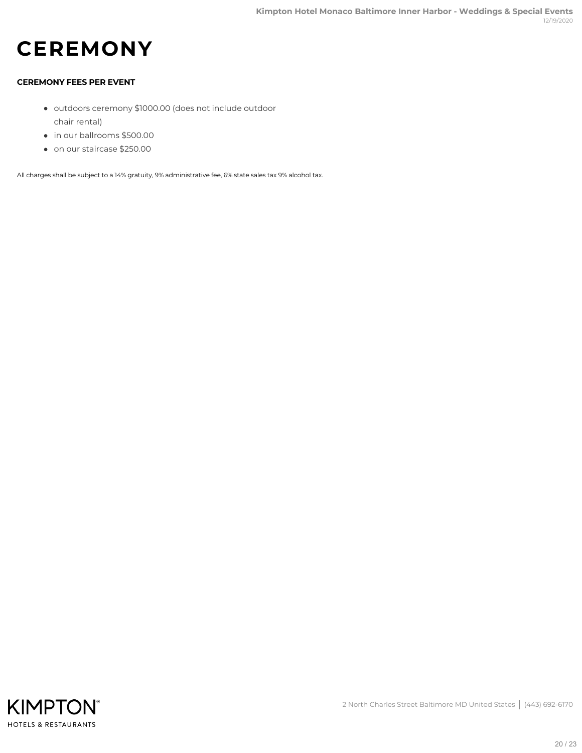# **CEREMONY**

# **CEREMONY FEES PER EVENT**

- outdoors ceremony \$1000.00 (does not include outdoor chair rental)
- in our ballrooms \$500.00
- on our staircase \$250.00

All charges shall be subject to a 14% gratuity, 9% administrative fee, 6% state sales tax 9% alcohol tax.

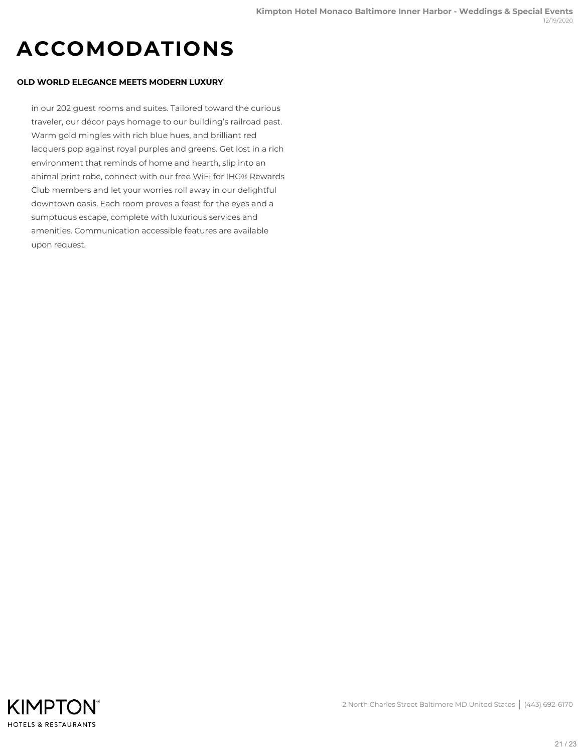# **ACCOMODATIONS**

### **OLD WORLD ELEGANCE MEETS MODERN LUXURY**

in our 202 guest rooms and suites. Tailored toward the curious traveler, our décor pays homage to our building's railroad past. Warm gold mingles with rich blue hues, and brilliant red lacquers pop against royal purples and greens. Get lost in a rich environment that reminds of home and hearth, slip into an animal print robe, connect with our free WiFi for IHG® Rewards Club members and let your worries roll away in our delightful downtown oasis. Each room proves a feast for the eyes and a sumptuous escape, complete with luxurious services and amenities. Communication accessible features are available upon request.

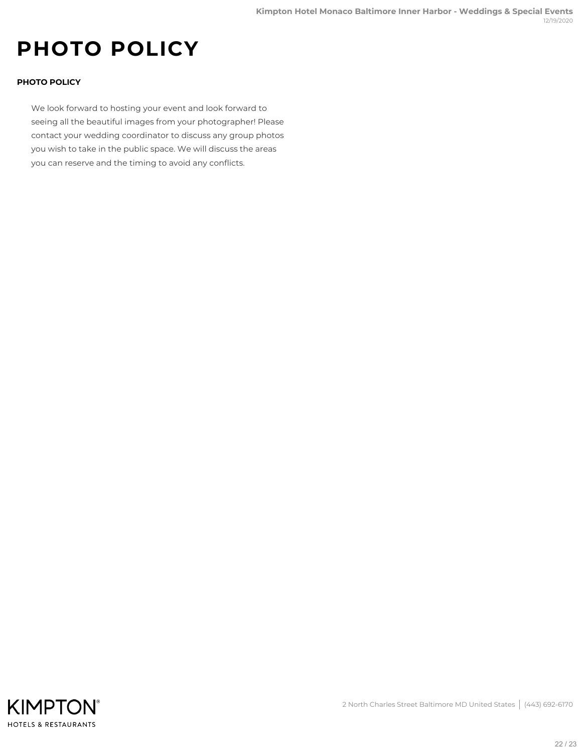# **PHOTO POLICY**

# **PHOTO POLICY**

We look forward to hosting your event and look forward to seeing all the beautiful images from your photographer! Please contact your wedding coordinator to discuss any group photos you wish to take in the public space. We will discuss the areas you can reserve and the timing to avoid any conflicts.



2 North Charles Street Baltimore MD United States | (443) 692-6170